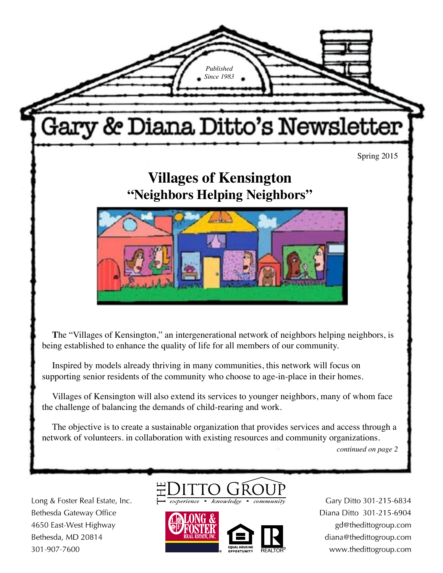

Villages of Kensington will also extend its services to younger neighbors, many of whom face the challenge of balancing the demands of child-rearing and work.

The objective is to create a sustainable organization that provides services and access through a network of volunteers. in collaboration with existing resources and community organizations.

*continued on page 2*

Long & Foster Real Estate, Inc. Bethesda Gateway Office 4650 East-West Highway Bethesda, MD 20814 301-907-7600



Gary Ditto 301-215-6834 Diana Ditto 301-215-6904 gd@thedittogroup.com diana@thedittogroup.com www.thedittogroup.com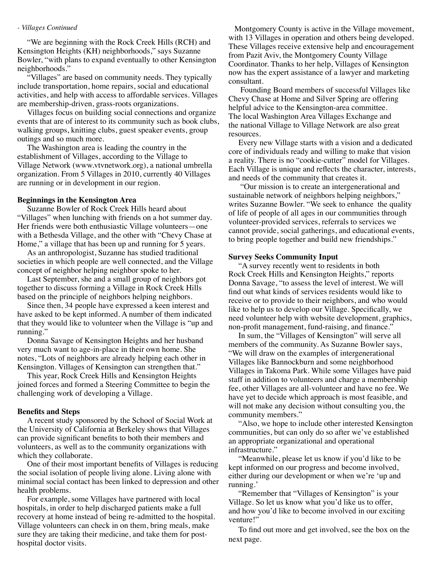### *- Villages Continued*

"We are beginning with the Rock Creek Hills (RCH) and Kensington Heights (KH) neighborhoods," says Suzanne Bowler, "with plans to expand eventually to other Kensington neighborhoods."

"Villages" are based on community needs. They typically include transportation, home repairs, social and educational activities, and help with access to affordable services. Villages are membership-driven, grass-roots organizations.

Villages focus on building social connections and organize events that are of interest to its community such as book clubs, walking groups, knitting clubs, guest speaker events, group outings and so much more.

The Washington area is leading the country in the establishment of Villages, according to the Village to Village Network (www.vtvnetwork.org), a national umbrella organization. From 5 Villages in 2010, currently 40 Villages are running or in development in our region.

### **Beginnings in the Kensington Area**

Suzanne Bowler of Rock Creek Hills heard about "Villages" when lunching with friends on a hot summer day. Her friends were both enthusiastic Village volunteers—one with a Bethesda Village, and the other with "Chevy Chase at Home," a village that has been up and running for 5 years.

As an anthropologist, Suzanne has studied traditional societies in which people are well connected, and the Village concept of neighbor helping neighbor spoke to her.

Last September, she and a small group of neighbors got together to discuss forming a Village in Rock Creek Hills based on the principle of neighbors helping neighbors.

Since then, 34 people have expressed a keen interest and have asked to be kept informed. A number of them indicated that they would like to volunteer when the Village is "up and running."

Donna Savage of Kensington Heights and her husband very much want to age-in-place in their own home. She notes, "Lots of neighbors are already helping each other in Kensington. Villages of Kensington can strengthen that."

This year, Rock Creek Hills and Kensington Heights joined forces and formed a Steering Committee to begin the challenging work of developing a Village.

#### **Benefits and Steps**

A recent study sponsored by the School of Social Work at the University of California at Berkeley shows that Villages can provide significant benefits to both their members and volunteers, as well as to the community organizations with which they collaborate.

One of their most important benefits of Villages is reducing the social isolation of people living alone. Living alone with minimal social contact has been linked to depression and other health problems.

For example, some Villages have partnered with local hospitals, in order to help discharged patients make a full recovery at home instead of being re-admitted to the hospital. Village volunteers can check in on them, bring meals, make sure they are taking their medicine, and take them for posthospital doctor visits.

 Montgomery County is active in the Village movement, with 13 Villages in operation and others being developed. These Villages receive extensive help and encouragement from Pazit Aviv, the Montgomery County Village Coordinator. Thanks to her help, Villages of Kensington now has the expert assistance of a lawyer and marketing consultant.

 Founding Board members of successful Villages like Chevy Chase at Home and Silver Spring are offering helpful advice to the Kensington-area committee. The local Washington Area Villages Exchange and the national Village to Village Network are also great resources.

Every new Village starts with a vision and a dedicated core of individuals ready and willing to make that vision a reality. There is no "cookie-cutter" model for Villages. Each Village is unique and reflects the character, interests, and needs of the community that creates it.

 "Our mission is to create an intergenerational and sustainable network of neighbors helping neighbors," writes Suzanne Bowler. "We seek to enhance the quality of life of people of all ages in our communities through volunteer-provided services, referrals to services we cannot provide, social gatherings, and educational events, to bring people together and build new friendships."

#### **Survey Seeks Community Input**

"A survey recently went to residents in both Rock Creek Hills and Kensington Heights," reports Donna Savage, "to assess the level of interest. We will find out what kinds of services residents would like to receive or to provide to their neighbors, and who would like to help us to develop our Village. Specifically, we need volunteer help with website development, graphics, non-profit management, fund-raising, and finance."

In sum, the "Villages of Kensington" will serve all members of the community. As Suzanne Bowler says, "We will draw on the examples of intergenerational Villages like Bannockburn and some neighborhood Villages in Takoma Park. While some Villages have paid staff in addition to volunteers and charge a membership fee, other Villages are all-volunteer and have no fee. We have yet to decide which approach is most feasible, and will not make any decision without consulting you, the community members."

"Also, we hope to include other interested Kensington communities, but can only do so after we've established an appropriate organizational and operational infrastructure."

"Meanwhile, please let us know if you'd like to be kept informed on our progress and become involved, either during our development or when we're 'up and running.'

"Remember that "Villages of Kensington" is your Village. So let us know what you'd like us to offer, and how you'd like to become involved in our exciting venture!"

To find out more and get involved, see the box on the next page.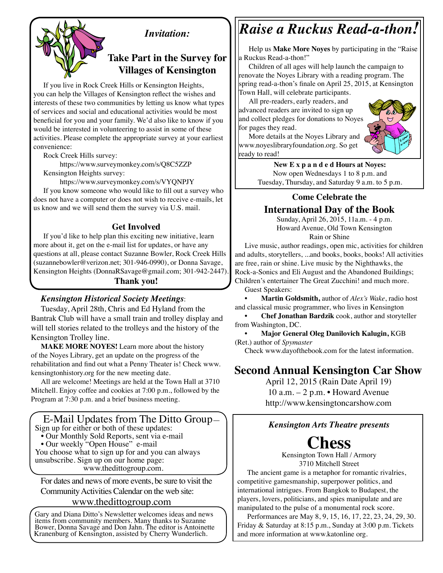

## *Invitation:*

## **Take Part in the Survey for Villages of Kensington**

If you live in Rock Creek Hills or Kensington Heights, you can help the Villages of Kensington reflect the wishes and interests of these two communities by letting us know what types of services and social and educational activities would be most beneficial for you and your family. We'd also like to know if you would be interested in volunteering to assist in some of these activities. Please complete the appropriate survey at your earliest convenience:

Rock Creek Hills survey:

https://www.surveymonkey.com/s/Q8C5ZZP Kensington Heights survey:

https://www.surveymonkey.com/s/VYQNPJY

If you know someone who would like to fill out a survey who does not have a computer or does not wish to receive e-mails, let us know and we will send them the survey via U.S. mail.

### **Get Involved**

If you'd like to help plan this exciting new initiative, learn more about it, get on the e-mail list for updates, or have any questions at all, please contact Suzanne Bowler, Rock Creek Hills (suzannebowler@verizon.net; 301-946-0990), or Donna Savage, Kensington Heights (DonnaRSavage@gmail.com; 301-942-2447).

### **Thank you!**

### *Kensington Historical Society Meetings*:

Tuesday, April 28th, Chris and Ed Hyland from the Bantrak Club will have a small train and trolley display and will tell stories related to the trolleys and the history of the Kensington Trolley line.

**MAKE MORE NOYES!** Learn more about the history of the Noyes Library, get an update on the progress of the rehabilitation and find out what a Penny Theater is! Check www. kensingtonhistory.org for the new meeting date.

All are welcome! Meetings are held at the Town Hall at 3710 Mitchell. Enjoy coffee and cookies at 7:00 p.m., followed by the Program at 7:30 p.m. and a brief business meeting.

# E-Mail Updates from The Ditto Group—

- Sign up for either or both of these updates: • Our Monthly Sold Reports, sent via e-mail
- Our weekly "Open House" e-mail

You choose what to sign up for and you can always unsubscribe. Sign up on our home page: www.thedittogroup.com.

For dates and news of more events, be sure to visit the Community Activities Calendar on the web site:

### www.thedittogroup.com

Gary and Diana Ditto's Newsletter welcomes ideas and news items from community members. Many thanks to Suzanne Bower, Donna Savage and Don Jahn. The editor is Antoinette Kranenburg of Kensington, assisted by Cherry Wunderlich.

# *Raise a Ruckus Read-a-thon!*

Help us **Make More Noyes** by participating in the "Raise a Ruckus Read-a-thon!"

Children of all ages will help launch the campaign to renovate the Noyes Library with a reading program. The spring read-a-thon's finale on April 25, 2015, at Kensington Town Hall, will celebrate participants.

All pre-readers, early readers, and advanced readers are invited to sign up and collect pledges for donations to Noyes for pages they read.



More details at the Noyes Library and www.noyeslibraryfoundation.org. So get ready to read!

> **New E x p a n d e d Hours at Noyes:**  Now open Wednesdays 1 to 8 p.m. and Tuesday, Thursday, and Saturday 9 a.m. to 5 p.m.

### **Come Celebrate the**

## **International Day of the Book**

Sunday, April 26, 2015, 11a.m. - 4 p.m. Howard Avenue, Old Town Kensington Rain or Shine

Live music, author readings, open mic, activities for children and adults, storytellers, ...and books, books, books! All activities are free, rain or shine. Live music by the Nighthawks, the Rock-a-Sonics and Eli August and the Abandoned Buildings; Children's entertainer The Great Zucchini! and much more. Guest Speakers:

• **Martin Goldsmith,** author of *Alex's Wake*, radio host and classical music programmer, who lives in Kensington

• **Chef Jonathan Bardzik** cook, author and storyteller from Washington, DC.

• **Major General Oleg Danilovich Kalugin,** KGB (Ret.) author of *Spymaster*

Check www.dayofthebook.com for the latest information.

# **Second Annual Kensington Car Show**

April 12, 2015 (Rain Date April 19) 10 a.m. – 2 p.m. • Howard Avenue http://www.kensingtoncarshow.com

### *Kensington Arts Theatre presents*

# **Chess**

Kensington Town Hall / Armory 3710 Mitchell Street

The ancient game is a metaphor for romantic rivalries, competitive gamesmanship, superpower politics, and international intrigues. From Bangkok to Budapest, the players, lovers, politicians, and spies manipulate and are manipulated to the pulse of a monumental rock score.

Performances are May 8, 9, 15, 16, 17, 22, 23, 24, 29, 30. Friday & Saturday at 8:15 p.m., Sunday at 3:00 p.m. Tickets and more information at www.katonline org.